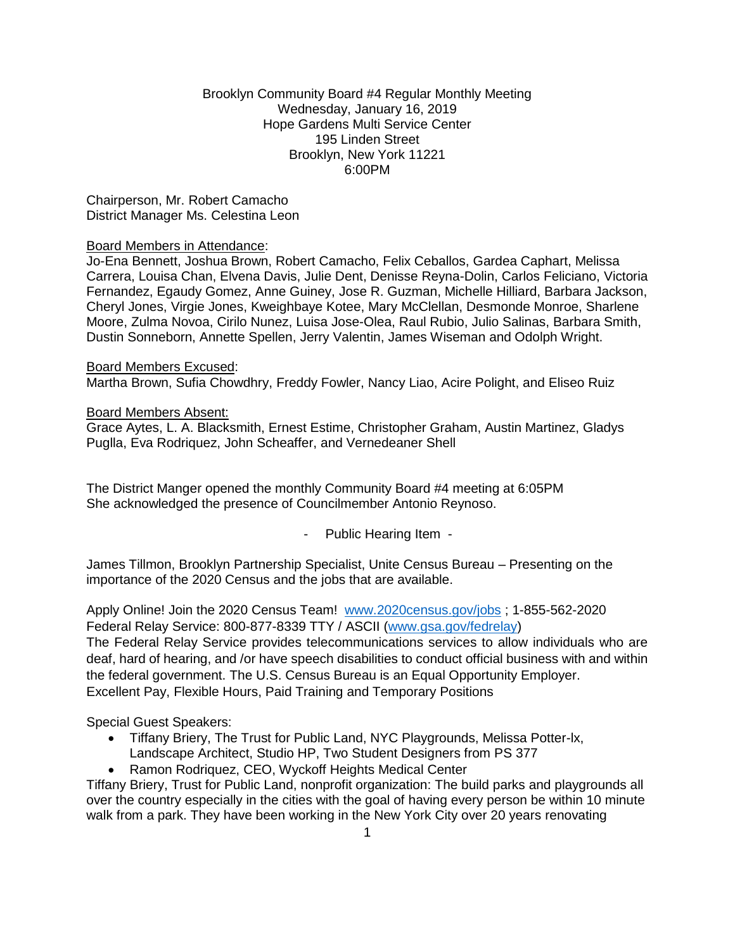### Brooklyn Community Board #4 Regular Monthly Meeting Wednesday, January 16, 2019 Hope Gardens Multi Service Center 195 Linden Street Brooklyn, New York 11221 6:00PM

Chairperson, Mr. Robert Camacho District Manager Ms. Celestina Leon

### Board Members in Attendance:

Jo-Ena Bennett, Joshua Brown, Robert Camacho, Felix Ceballos, Gardea Caphart, Melissa Carrera, Louisa Chan, Elvena Davis, Julie Dent, Denisse Reyna-Dolin, Carlos Feliciano, Victoria Fernandez, Egaudy Gomez, Anne Guiney, Jose R. Guzman, Michelle Hilliard, Barbara Jackson, Cheryl Jones, Virgie Jones, Kweighbaye Kotee, Mary McClellan, Desmonde Monroe, Sharlene Moore, Zulma Novoa, Cirilo Nunez, Luisa Jose-Olea, Raul Rubio, Julio Salinas, Barbara Smith, Dustin Sonneborn, Annette Spellen, Jerry Valentin, James Wiseman and Odolph Wright.

Board Members Excused: Martha Brown, Sufia Chowdhry, Freddy Fowler, Nancy Liao, Acire Polight, and Eliseo Ruiz

#### Board Members Absent:

Grace Aytes, L. A. Blacksmith, Ernest Estime, Christopher Graham, Austin Martinez, Gladys Puglla, Eva Rodriquez, John Scheaffer, and Vernedeaner Shell

The District Manger opened the monthly Community Board #4 meeting at 6:05PM She acknowledged the presence of Councilmember Antonio Reynoso.

- Public Hearing Item -

James Tillmon, Brooklyn Partnership Specialist, Unite Census Bureau – Presenting on the importance of the 2020 Census and the jobs that are available.

Apply Online! Join the 2020 Census Team! [www.2020census.gov/jobs](http://www.2020census.gov/jobs) ; 1-855-562-2020 Federal Relay Service: 800-877-8339 TTY / ASCII [\(www.gsa.gov/fedrelay\)](http://www.gsa.gov/fedrelay)

The Federal Relay Service provides telecommunications services to allow individuals who are deaf, hard of hearing, and /or have speech disabilities to conduct official business with and within the federal government. The U.S. Census Bureau is an Equal Opportunity Employer. Excellent Pay, Flexible Hours, Paid Training and Temporary Positions

Special Guest Speakers:

- Tiffany Briery, The Trust for Public Land, NYC Playgrounds, Melissa Potter-lx, Landscape Architect, Studio HP, Two Student Designers from PS 377
- Ramon Rodriquez, CEO, Wyckoff Heights Medical Center

Tiffany Briery, Trust for Public Land, nonprofit organization: The build parks and playgrounds all over the country especially in the cities with the goal of having every person be within 10 minute walk from a park. They have been working in the New York City over 20 years renovating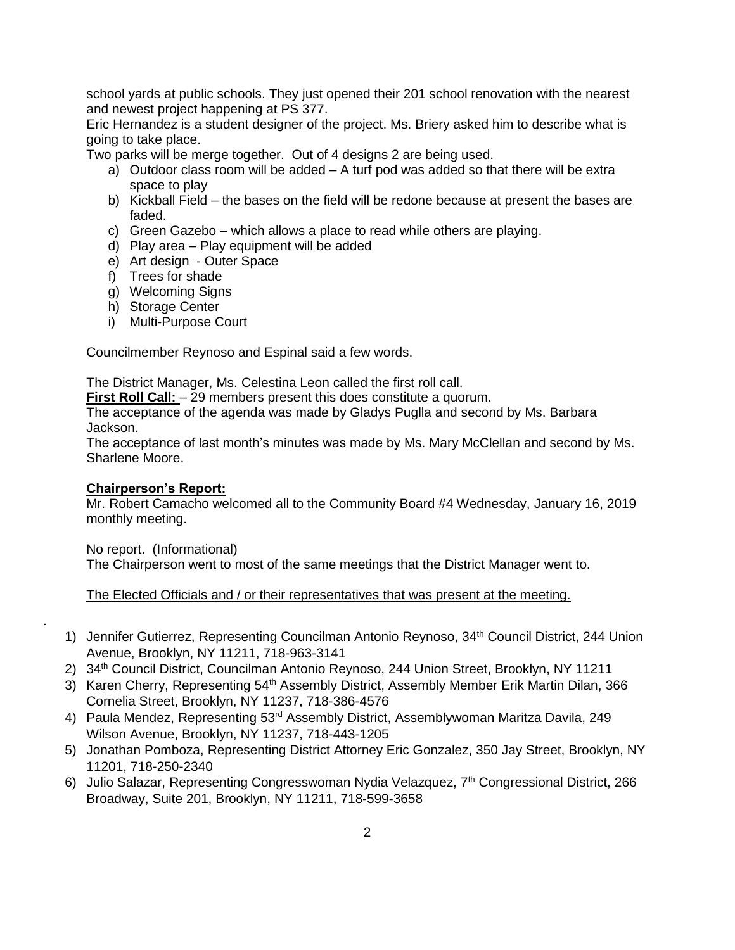school yards at public schools. They just opened their 201 school renovation with the nearest and newest project happening at PS 377.

Eric Hernandez is a student designer of the project. Ms. Briery asked him to describe what is going to take place.

Two parks will be merge together. Out of 4 designs 2 are being used.

- a) Outdoor class room will be added A turf pod was added so that there will be extra space to play
- b) Kickball Field the bases on the field will be redone because at present the bases are faded.
- c) Green Gazebo which allows a place to read while others are playing.
- d) Play area Play equipment will be added
- e) Art design Outer Space
- f) Trees for shade
- g) Welcoming Signs
- h) Storage Center
- i) Multi-Purpose Court

Councilmember Reynoso and Espinal said a few words.

The District Manager, Ms. Celestina Leon called the first roll call.

**First Roll Call:**  $-29$  members present this does constitute a quorum.

The acceptance of the agenda was made by Gladys Puglla and second by Ms. Barbara Jackson.

The acceptance of last month's minutes was made by Ms. Mary McClellan and second by Ms. Sharlene Moore.

### **Chairperson's Report:**

Mr. Robert Camacho welcomed all to the Community Board #4 Wednesday, January 16, 2019 monthly meeting.

No report. (Informational)

.

The Chairperson went to most of the same meetings that the District Manager went to.

The Elected Officials and / or their representatives that was present at the meeting.

- 1) Jennifer Gutierrez, Representing Councilman Antonio Reynoso, 34<sup>th</sup> Council District, 244 Union Avenue, Brooklyn, NY 11211, 718-963-3141
- 2) 34th Council District, Councilman Antonio Reynoso, 244 Union Street, Brooklyn, NY 11211
- 3) Karen Cherry, Representing 54<sup>th</sup> Assembly District, Assembly Member Erik Martin Dilan, 366 Cornelia Street, Brooklyn, NY 11237, 718-386-4576
- 4) Paula Mendez, Representing 53rd Assembly District, Assemblywoman Maritza Davila, 249 Wilson Avenue, Brooklyn, NY 11237, 718-443-1205
- 5) Jonathan Pomboza, Representing District Attorney Eric Gonzalez, 350 Jay Street, Brooklyn, NY 11201, 718-250-2340
- 6) Julio Salazar, Representing Congresswoman Nydia Velazquez, 7<sup>th</sup> Congressional District, 266 Broadway, Suite 201, Brooklyn, NY 11211, 718-599-3658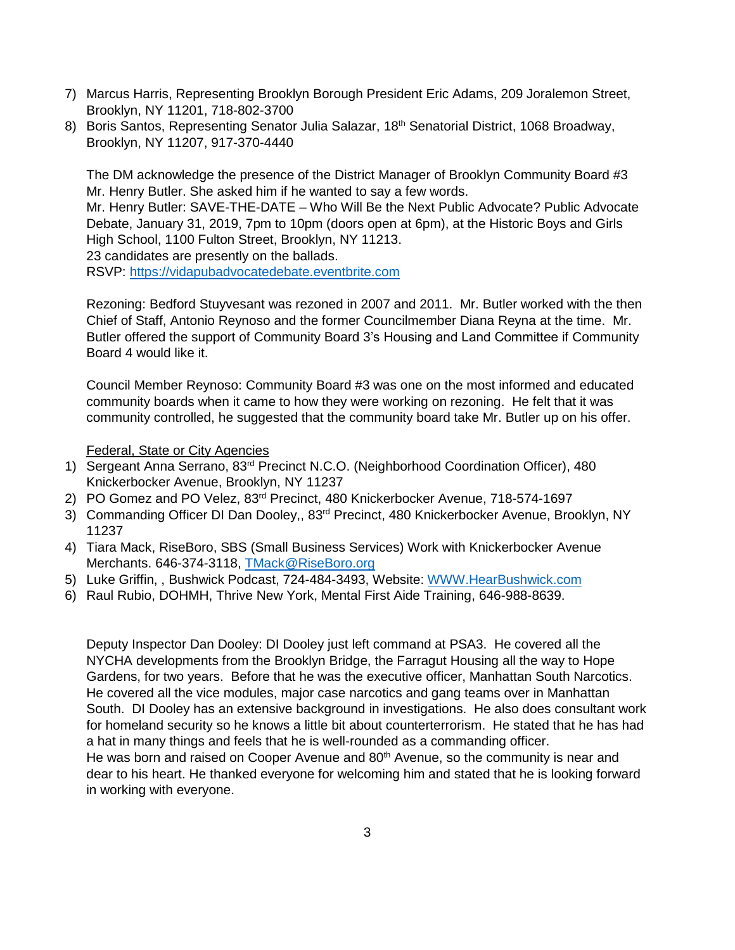- 7) Marcus Harris, Representing Brooklyn Borough President Eric Adams, 209 Joralemon Street, Brooklyn, NY 11201, 718-802-3700
- 8) Boris Santos, Representing Senator Julia Salazar, 18<sup>th</sup> Senatorial District, 1068 Broadway, Brooklyn, NY 11207, 917-370-4440

The DM acknowledge the presence of the District Manager of Brooklyn Community Board #3 Mr. Henry Butler. She asked him if he wanted to say a few words.

Mr. Henry Butler: SAVE-THE-DATE – Who Will Be the Next Public Advocate? Public Advocate Debate, January 31, 2019, 7pm to 10pm (doors open at 6pm), at the Historic Boys and Girls High School, 1100 Fulton Street, Brooklyn, NY 11213.

23 candidates are presently on the ballads.

RSVP: [https://vidapubadvocatedebate.eventbrite.com](https://vidapubadvocatedebate.eventbrite.com/) 

Rezoning: Bedford Stuyvesant was rezoned in 2007 and 2011. Mr. Butler worked with the then Chief of Staff, Antonio Reynoso and the former Councilmember Diana Reyna at the time. Mr. Butler offered the support of Community Board 3's Housing and Land Committee if Community Board 4 would like it.

Council Member Reynoso: Community Board #3 was one on the most informed and educated community boards when it came to how they were working on rezoning. He felt that it was community controlled, he suggested that the community board take Mr. Butler up on his offer.

Federal, State or City Agencies

- 1) Sergeant Anna Serrano, 83<sup>rd</sup> Precinct N.C.O. (Neighborhood Coordination Officer), 480 Knickerbocker Avenue, Brooklyn, NY 11237
- 2) PO Gomez and PO Velez, 83<sup>rd</sup> Precinct, 480 Knickerbocker Avenue, 718-574-1697
- 3) Commanding Officer DI Dan Dooley,, 83<sup>rd</sup> Precinct, 480 Knickerbocker Avenue, Brooklyn, NY 11237
- 4) Tiara Mack, RiseBoro, SBS (Small Business Services) Work with Knickerbocker Avenue Merchants. 646-374-3118, [TMack@RiseBoro.org](mailto:TMack@RiseBoro.org)
- 5) Luke Griffin, , Bushwick Podcast, 724-484-3493, Website: [WWW.HearBushwick.com](http://www.hearbushwick.com/)
- 6) Raul Rubio, DOHMH, Thrive New York, Mental First Aide Training, 646-988-8639.

Deputy Inspector Dan Dooley: DI Dooley just left command at PSA3. He covered all the NYCHA developments from the Brooklyn Bridge, the Farragut Housing all the way to Hope Gardens, for two years. Before that he was the executive officer, Manhattan South Narcotics. He covered all the vice modules, major case narcotics and gang teams over in Manhattan South. DI Dooley has an extensive background in investigations. He also does consultant work for homeland security so he knows a little bit about counterterrorism. He stated that he has had a hat in many things and feels that he is well-rounded as a commanding officer. He was born and raised on Cooper Avenue and  $80<sup>th</sup>$  Avenue, so the community is near and

dear to his heart. He thanked everyone for welcoming him and stated that he is looking forward in working with everyone.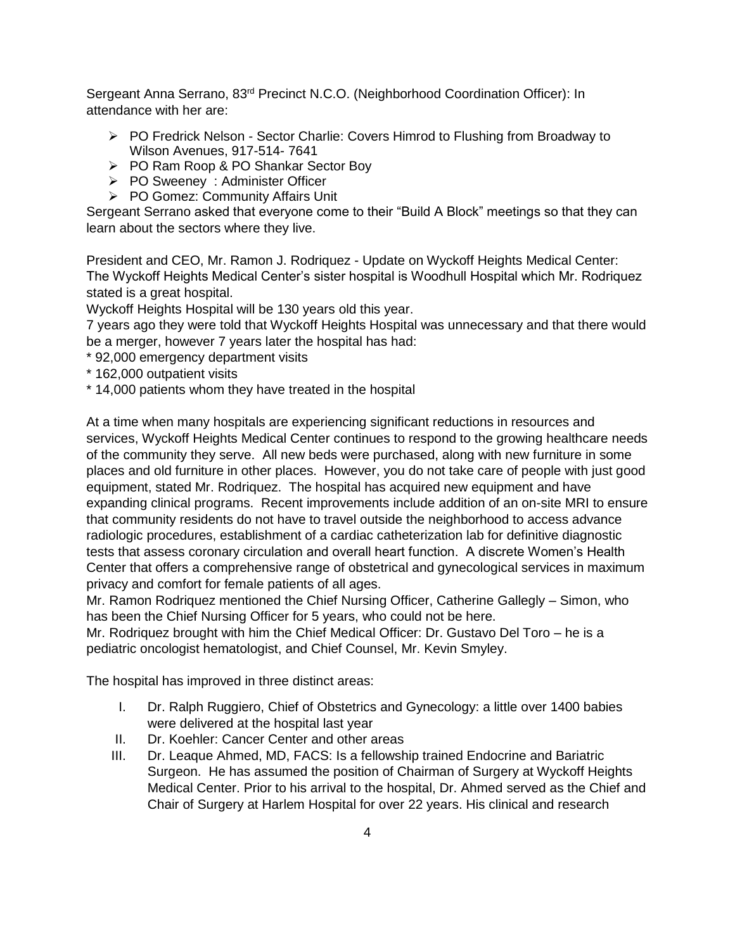Sergeant Anna Serrano, 83<sup>rd</sup> Precinct N.C.O. (Neighborhood Coordination Officer): In attendance with her are:

- $\triangleright$  PO Fredrick Nelson Sector Charlie: Covers Himrod to Flushing from Broadway to Wilson Avenues, 917-514- 7641
- PO Ram Roop & PO Shankar Sector Boy
- PO Sweeney : Administer Officer
- ▶ PO Gomez: Community Affairs Unit

Sergeant Serrano asked that everyone come to their "Build A Block" meetings so that they can learn about the sectors where they live.

President and CEO, Mr. Ramon J. Rodriquez - Update on Wyckoff Heights Medical Center: The Wyckoff Heights Medical Center's sister hospital is Woodhull Hospital which Mr. Rodriquez stated is a great hospital.

Wyckoff Heights Hospital will be 130 years old this year.

7 years ago they were told that Wyckoff Heights Hospital was unnecessary and that there would be a merger, however 7 years later the hospital has had:

- \* 92,000 emergency department visits
- \* 162,000 outpatient visits
- \* 14,000 patients whom they have treated in the hospital

At a time when many hospitals are experiencing significant reductions in resources and services, Wyckoff Heights Medical Center continues to respond to the growing healthcare needs of the community they serve. All new beds were purchased, along with new furniture in some places and old furniture in other places. However, you do not take care of people with just good equipment, stated Mr. Rodriquez. The hospital has acquired new equipment and have expanding clinical programs. Recent improvements include addition of an on-site MRI to ensure that community residents do not have to travel outside the neighborhood to access advance radiologic procedures, establishment of a cardiac catheterization lab for definitive diagnostic tests that assess coronary circulation and overall heart function. A discrete Women's Health Center that offers a comprehensive range of obstetrical and gynecological services in maximum privacy and comfort for female patients of all ages.

Mr. Ramon Rodriquez mentioned the Chief Nursing Officer, Catherine Gallegly – Simon, who has been the Chief Nursing Officer for 5 years, who could not be here.

Mr. Rodriquez brought with him the Chief Medical Officer: Dr. Gustavo Del Toro – he is a pediatric oncologist hematologist, and Chief Counsel, Mr. Kevin Smyley.

The hospital has improved in three distinct areas:

- I. Dr. Ralph Ruggiero, Chief of Obstetrics and Gynecology: a little over 1400 babies were delivered at the hospital last year
- II. Dr. Koehler: Cancer Center and other areas
- III. Dr. Leaque Ahmed, MD, FACS: Is a fellowship trained Endocrine and Bariatric Surgeon. He has assumed the position of Chairman of Surgery at Wyckoff Heights Medical Center. Prior to his arrival to the hospital, Dr. Ahmed served as the Chief and Chair of Surgery at Harlem Hospital for over 22 years. His clinical and research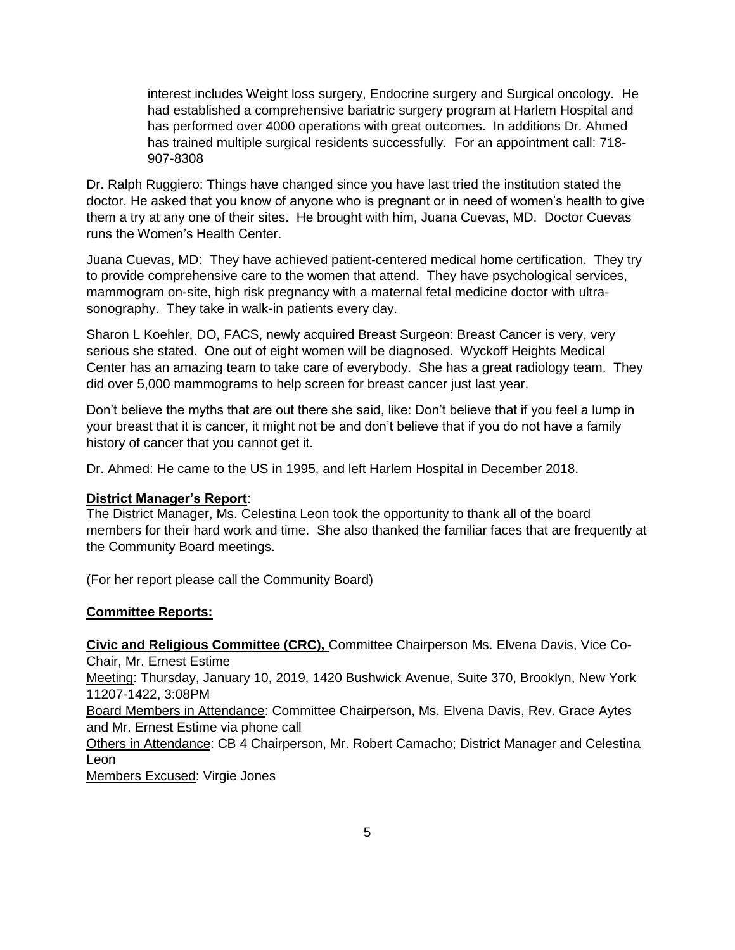interest includes Weight loss surgery, Endocrine surgery and Surgical oncology. He had established a comprehensive bariatric surgery program at Harlem Hospital and has performed over 4000 operations with great outcomes. In additions Dr. Ahmed has trained multiple surgical residents successfully. For an appointment call: 718- 907-8308

Dr. Ralph Ruggiero: Things have changed since you have last tried the institution stated the doctor. He asked that you know of anyone who is pregnant or in need of women's health to give them a try at any one of their sites. He brought with him, Juana Cuevas, MD. Doctor Cuevas runs the Women's Health Center.

Juana Cuevas, MD: They have achieved patient-centered medical home certification. They try to provide comprehensive care to the women that attend. They have psychological services, mammogram on-site, high risk pregnancy with a maternal fetal medicine doctor with ultrasonography. They take in walk-in patients every day.

Sharon L Koehler, DO, FACS, newly acquired Breast Surgeon: Breast Cancer is very, very serious she stated. One out of eight women will be diagnosed. Wyckoff Heights Medical Center has an amazing team to take care of everybody. She has a great radiology team. They did over 5,000 mammograms to help screen for breast cancer just last year.

Don't believe the myths that are out there she said, like: Don't believe that if you feel a lump in your breast that it is cancer, it might not be and don't believe that if you do not have a family history of cancer that you cannot get it.

Dr. Ahmed: He came to the US in 1995, and left Harlem Hospital in December 2018.

# **District Manager's Report**:

The District Manager, Ms. Celestina Leon took the opportunity to thank all of the board members for their hard work and time. She also thanked the familiar faces that are frequently at the Community Board meetings.

(For her report please call the Community Board)

# **Committee Reports:**

**Civic and Religious Committee (CRC),** Committee Chairperson Ms. Elvena Davis, Vice Co-

Chair, Mr. Ernest Estime

Meeting: Thursday, January 10, 2019, 1420 Bushwick Avenue, Suite 370, Brooklyn, New York 11207-1422, 3:08PM

Board Members in Attendance: Committee Chairperson, Ms. Elvena Davis, Rev. Grace Aytes and Mr. Ernest Estime via phone call

Others in Attendance: CB 4 Chairperson, Mr. Robert Camacho; District Manager and Celestina Leon

Members Excused: Virgie Jones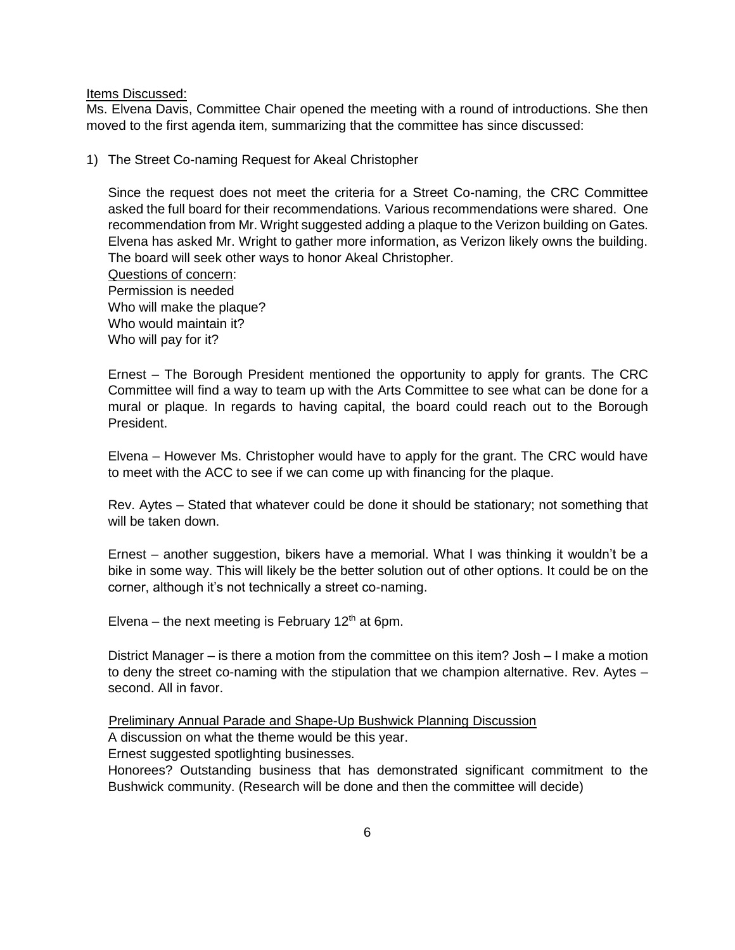Items Discussed:

Ms. Elvena Davis, Committee Chair opened the meeting with a round of introductions. She then moved to the first agenda item, summarizing that the committee has since discussed:

1) The Street Co-naming Request for Akeal Christopher

Since the request does not meet the criteria for a Street Co-naming, the CRC Committee asked the full board for their recommendations. Various recommendations were shared. One recommendation from Mr. Wright suggested adding a plaque to the Verizon building on Gates. Elvena has asked Mr. Wright to gather more information, as Verizon likely owns the building. The board will seek other ways to honor Akeal Christopher.

Questions of concern: Permission is needed Who will make the plaque? Who would maintain it? Who will pay for it?

Ernest – The Borough President mentioned the opportunity to apply for grants. The CRC Committee will find a way to team up with the Arts Committee to see what can be done for a mural or plaque. In regards to having capital, the board could reach out to the Borough President.

Elvena – However Ms. Christopher would have to apply for the grant. The CRC would have to meet with the ACC to see if we can come up with financing for the plaque.

Rev. Aytes – Stated that whatever could be done it should be stationary; not something that will be taken down.

Ernest – another suggestion, bikers have a memorial. What I was thinking it wouldn't be a bike in some way. This will likely be the better solution out of other options. It could be on the corner, although it's not technically a street co-naming.

Elvena – the next meeting is February  $12<sup>th</sup>$  at 6pm.

District Manager – is there a motion from the committee on this item? Josh – I make a motion to deny the street co-naming with the stipulation that we champion alternative. Rev. Aytes – second. All in favor.

Preliminary Annual Parade and Shape-Up Bushwick Planning Discussion

A discussion on what the theme would be this year.

Ernest suggested spotlighting businesses.

Honorees? Outstanding business that has demonstrated significant commitment to the Bushwick community. (Research will be done and then the committee will decide)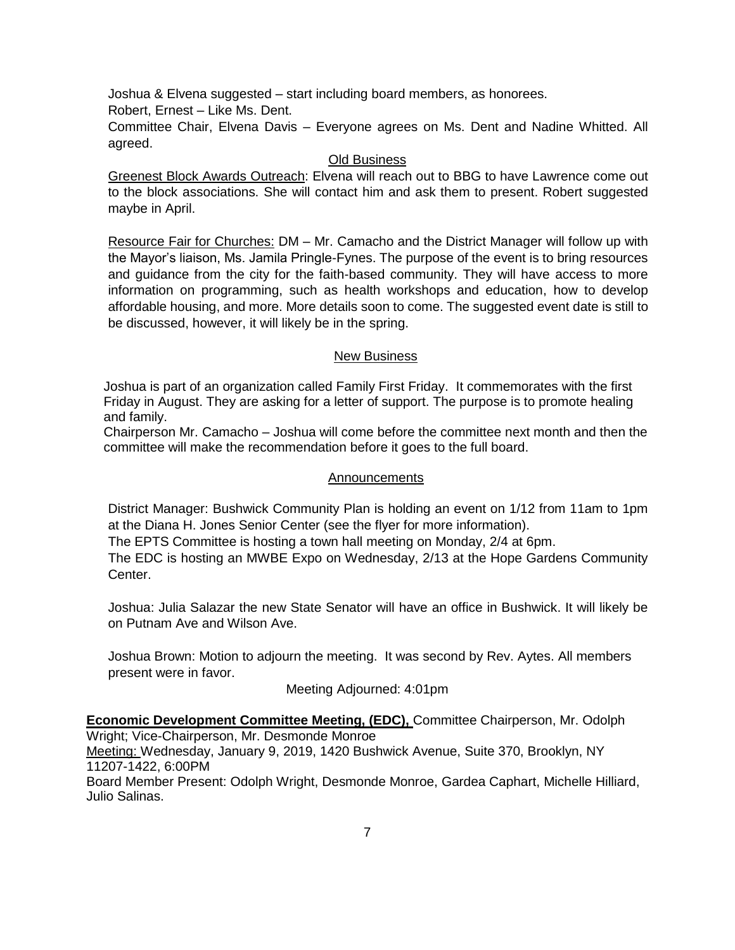Joshua & Elvena suggested – start including board members, as honorees. Robert, Ernest – Like Ms. Dent. Committee Chair, Elvena Davis – Everyone agrees on Ms. Dent and Nadine Whitted. All agreed.

### Old Business

Greenest Block Awards Outreach: Elvena will reach out to BBG to have Lawrence come out to the block associations. She will contact him and ask them to present. Robert suggested maybe in April.

Resource Fair for Churches: DM – Mr. Camacho and the District Manager will follow up with the Mayor's liaison, Ms. Jamila Pringle-Fynes. The purpose of the event is to bring resources and guidance from the city for the faith-based community. They will have access to more information on programming, such as health workshops and education, how to develop affordable housing, and more. More details soon to come. The suggested event date is still to be discussed, however, it will likely be in the spring.

## New Business

Joshua is part of an organization called Family First Friday. It commemorates with the first Friday in August. They are asking for a letter of support. The purpose is to promote healing and family.

Chairperson Mr. Camacho – Joshua will come before the committee next month and then the committee will make the recommendation before it goes to the full board.

### Announcements

District Manager: Bushwick Community Plan is holding an event on 1/12 from 11am to 1pm at the Diana H. Jones Senior Center (see the flyer for more information).

The EPTS Committee is hosting a town hall meeting on Monday, 2/4 at 6pm.

The EDC is hosting an MWBE Expo on Wednesday, 2/13 at the Hope Gardens Community Center.

Joshua: Julia Salazar the new State Senator will have an office in Bushwick. It will likely be on Putnam Ave and Wilson Ave.

Joshua Brown: Motion to adjourn the meeting. It was second by Rev. Aytes. All members present were in favor.

Meeting Adjourned: 4:01pm

**Economic Development Committee Meeting, (EDC),** Committee Chairperson, Mr. Odolph Wright; Vice-Chairperson, Mr. Desmonde Monroe

Meeting: Wednesday, January 9, 2019, 1420 Bushwick Avenue, Suite 370, Brooklyn, NY 11207-1422, 6:00PM

Board Member Present: Odolph Wright, Desmonde Monroe, Gardea Caphart, Michelle Hilliard, Julio Salinas.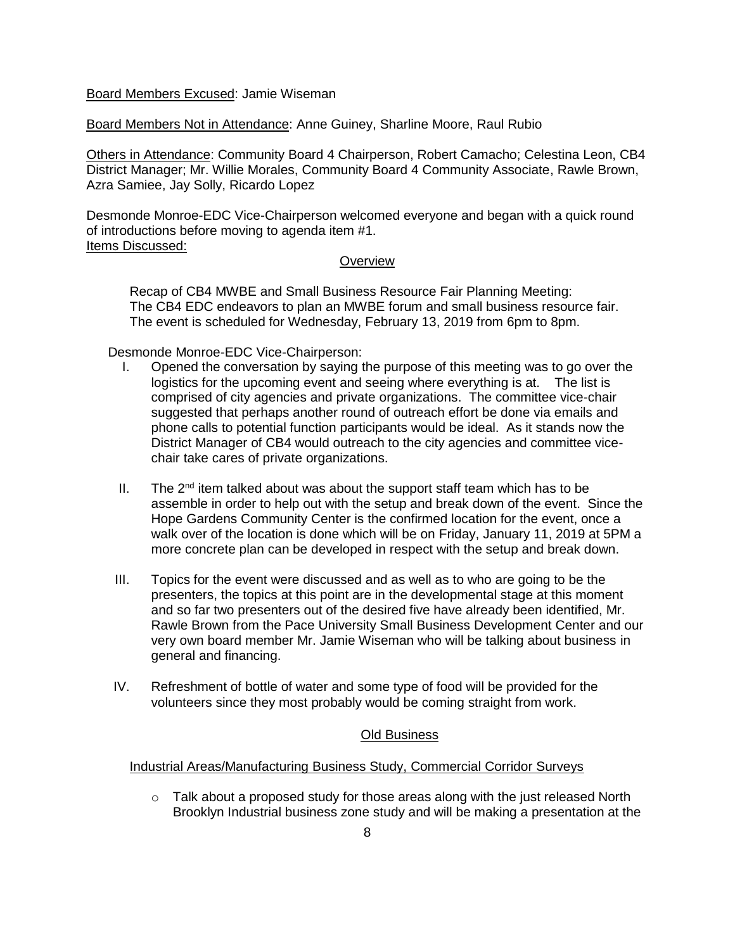Board Members Excused: Jamie Wiseman

Board Members Not in Attendance: Anne Guiney, Sharline Moore, Raul Rubio

Others in Attendance: Community Board 4 Chairperson, Robert Camacho; Celestina Leon, CB4 District Manager; Mr. Willie Morales, Community Board 4 Community Associate, Rawle Brown, Azra Samiee, Jay Solly, Ricardo Lopez

Desmonde Monroe-EDC Vice-Chairperson welcomed everyone and began with a quick round of introductions before moving to agenda item #1. Items Discussed:

#### **Overview**

Recap of CB4 MWBE and Small Business Resource Fair Planning Meeting: The CB4 EDC endeavors to plan an MWBE forum and small business resource fair. The event is scheduled for Wednesday, February 13, 2019 from 6pm to 8pm.

Desmonde Monroe-EDC Vice-Chairperson:

- I. Opened the conversation by saying the purpose of this meeting was to go over the logistics for the upcoming event and seeing where everything is at. The list is comprised of city agencies and private organizations. The committee vice-chair suggested that perhaps another round of outreach effort be done via emails and phone calls to potential function participants would be ideal. As it stands now the District Manager of CB4 would outreach to the city agencies and committee vicechair take cares of private organizations.
- II. The  $2^{nd}$  item talked about was about the support staff team which has to be assemble in order to help out with the setup and break down of the event. Since the Hope Gardens Community Center is the confirmed location for the event, once a walk over of the location is done which will be on Friday, January 11, 2019 at 5PM a more concrete plan can be developed in respect with the setup and break down.
- III. Topics for the event were discussed and as well as to who are going to be the presenters, the topics at this point are in the developmental stage at this moment and so far two presenters out of the desired five have already been identified, Mr. Rawle Brown from the Pace University Small Business Development Center and our very own board member Mr. Jamie Wiseman who will be talking about business in general and financing.
- IV. Refreshment of bottle of water and some type of food will be provided for the volunteers since they most probably would be coming straight from work.

### Old Business

### Industrial Areas/Manufacturing Business Study, Commercial Corridor Surveys

 $\circ$  Talk about a proposed study for those areas along with the just released North Brooklyn Industrial business zone study and will be making a presentation at the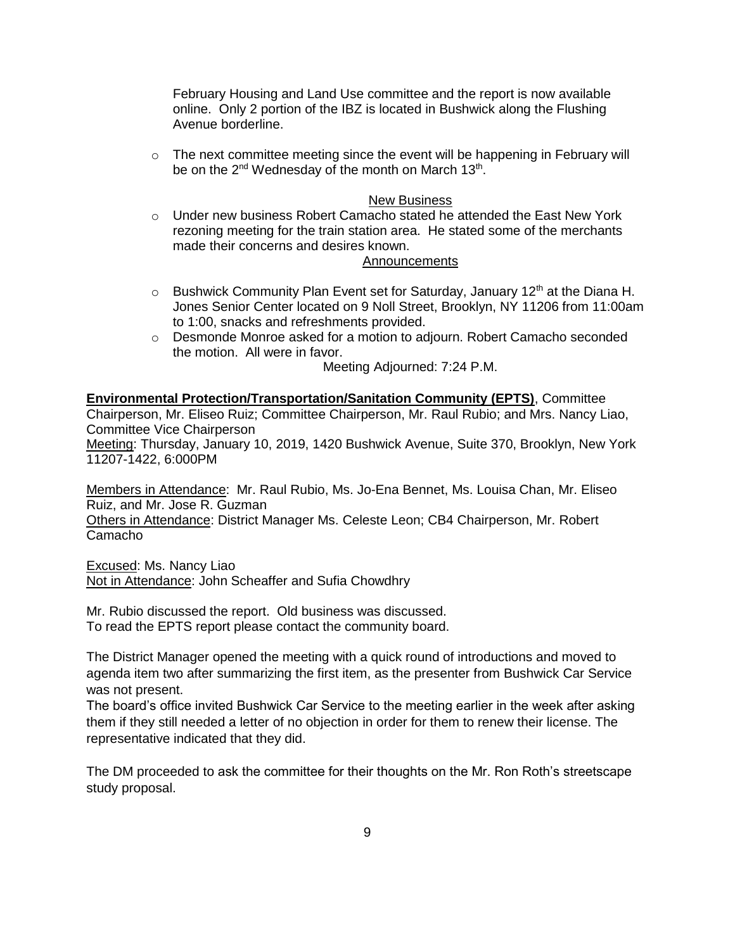February Housing and Land Use committee and the report is now available online. Only 2 portion of the IBZ is located in Bushwick along the Flushing Avenue borderline.

 $\circ$  The next committee meeting since the event will be happening in February will be on the 2<sup>nd</sup> Wednesday of the month on March 13<sup>th</sup>.

#### New Business

 $\circ$  Under new business Robert Camacho stated he attended the East New York rezoning meeting for the train station area. He stated some of the merchants made their concerns and desires known.

#### Announcements

- $\circ$  Bushwick Community Plan Event set for Saturday, January 12<sup>th</sup> at the Diana H. Jones Senior Center located on 9 Noll Street, Brooklyn, NY 11206 from 11:00am to 1:00, snacks and refreshments provided.
- o Desmonde Monroe asked for a motion to adjourn. Robert Camacho seconded the motion. All were in favor.

Meeting Adjourned: 7:24 P.M.

# **Environmental Protection/Transportation/Sanitation Community (EPTS)**, Committee Chairperson, Mr. Eliseo Ruiz; Committee Chairperson, Mr. Raul Rubio; and Mrs. Nancy Liao, Committee Vice Chairperson

Meeting: Thursday, January 10, 2019, 1420 Bushwick Avenue, Suite 370, Brooklyn, New York 11207-1422, 6:000PM

Members in Attendance: Mr. Raul Rubio, Ms. Jo-Ena Bennet, Ms. Louisa Chan, Mr. Eliseo Ruiz, and Mr. Jose R. Guzman

Others in Attendance: District Manager Ms. Celeste Leon; CB4 Chairperson, Mr. Robert Camacho

Excused: Ms. Nancy Liao Not in Attendance: John Scheaffer and Sufia Chowdhry

Mr. Rubio discussed the report. Old business was discussed. To read the EPTS report please contact the community board.

The District Manager opened the meeting with a quick round of introductions and moved to agenda item two after summarizing the first item, as the presenter from Bushwick Car Service was not present.

The board's office invited Bushwick Car Service to the meeting earlier in the week after asking them if they still needed a letter of no objection in order for them to renew their license. The representative indicated that they did.

The DM proceeded to ask the committee for their thoughts on the Mr. Ron Roth's streetscape study proposal.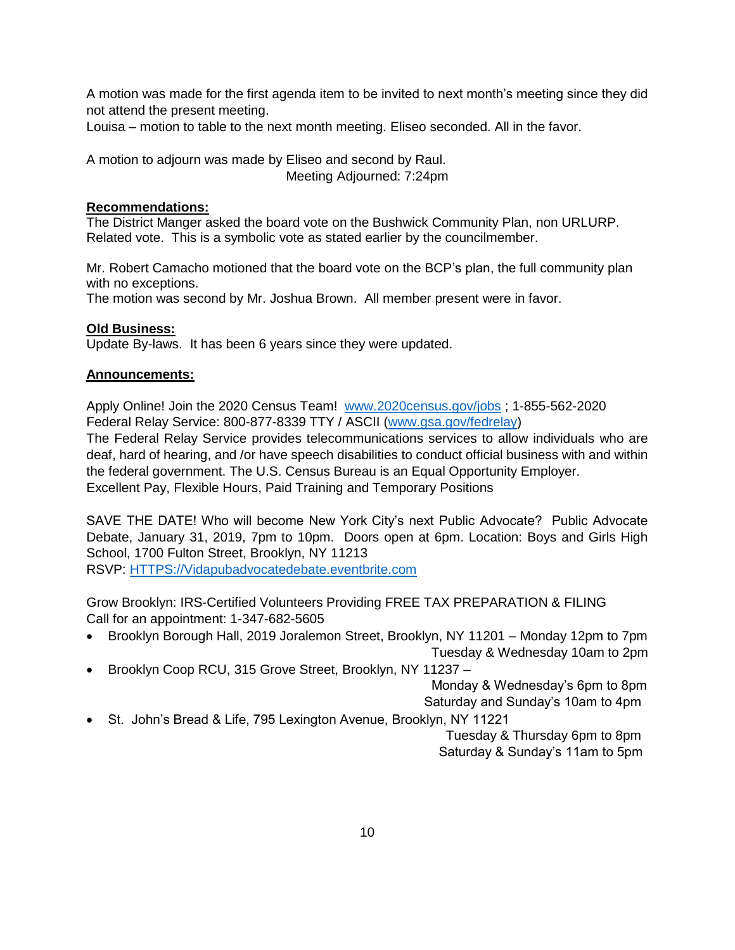A motion was made for the first agenda item to be invited to next month's meeting since they did not attend the present meeting.

Louisa – motion to table to the next month meeting. Eliseo seconded. All in the favor.

A motion to adjourn was made by Eliseo and second by Raul. Meeting Adjourned: 7:24pm

## **Recommendations:**

The District Manger asked the board vote on the Bushwick Community Plan, non URLURP. Related vote. This is a symbolic vote as stated earlier by the councilmember.

Mr. Robert Camacho motioned that the board vote on the BCP's plan, the full community plan with no exceptions.

The motion was second by Mr. Joshua Brown. All member present were in favor.

## **Old Business:**

Update By-laws. It has been 6 years since they were updated.

## **Announcements:**

Apply Online! Join the 2020 Census Team! [www.2020census.gov/jobs](http://www.2020census.gov/jobs) ; 1-855-562-2020 Federal Relay Service: 800-877-8339 TTY / ASCII [\(www.gsa.gov/fedrelay\)](http://www.gsa.gov/fedrelay)

The Federal Relay Service provides telecommunications services to allow individuals who are deaf, hard of hearing, and /or have speech disabilities to conduct official business with and within the federal government. The U.S. Census Bureau is an Equal Opportunity Employer. Excellent Pay, Flexible Hours, Paid Training and Temporary Positions

SAVE THE DATE! Who will become New York City's next Public Advocate? Public Advocate Debate, January 31, 2019, 7pm to 10pm. Doors open at 6pm. Location: Boys and Girls High School, 1700 Fulton Street, Brooklyn, NY 11213

RSVP: [HTTPS://Vidapubadvocatedebate.eventbrite.com](https://vidapubadvocatedebate.eventbrite.com/) 

Grow Brooklyn: IRS-Certified Volunteers Providing FREE TAX PREPARATION & FILING Call for an appointment: 1-347-682-5605

- Brooklyn Borough Hall, 2019 Joralemon Street, Brooklyn, NY 11201 Monday 12pm to 7pm Tuesday & Wednesday 10am to 2pm
- Brooklyn Coop RCU, 315 Grove Street, Brooklyn, NY 11237 –

Monday & Wednesday's 6pm to 8pm

Saturday and Sunday's 10am to 4pm

• St. John's Bread & Life, 795 Lexington Avenue, Brooklyn, NY 11221

 Tuesday & Thursday 6pm to 8pm Saturday & Sunday's 11am to 5pm